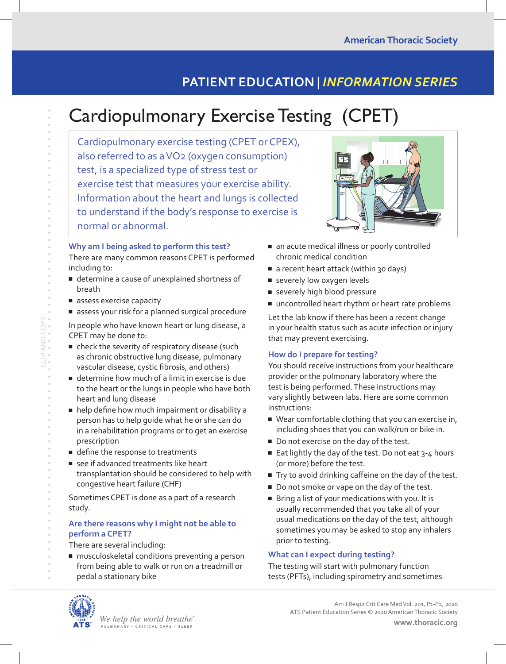# **PATIENT EDUCATION |** *INFORMATION SERIES*

Cardiopulmonary exercise testing (CPET or CPEX), also referred to as a VO2 (oxygen consumption) test, is a specialized type of stress test or exercise test that measures your exercise ability. Information about the heart and lungs is collected to understand if the body's response to exercise is normal or abnormal.



### **Why am I being asked to perform this test?**

There are many common reasons CPET is performed including to:

- determine a cause of unexplained shortness of breath
- assess exercise capacity
- assess your risk for a planned surgical procedure

In people who have known heart or lung disease, a CPET may be done to:

- check the severity of respiratory disease (such as chronic obstructive lung disease, pulmonary vascular disease, cystic fibrosis, and others)
- determine how much of a limit in exercise is due to the heart or the lungs in people who have both heart and lung disease
- help define how much impairment or disability a person has to help guide what he or she can do in a rehabilitation programs or to get an exercise prescription
- define the response to treatments
- see if advanced treatments like heart transplantation should be considered to help with congestive heart failure (CHF)

Sometimes CPET is done as a part of a research study.

### **Are there reasons why I might not be able to perform a CPET?**

There are several including:

■ musculoskeletal conditions preventing a person from being able to walk or run on a treadmill or pedal a stationary bike

- an acute medical illness or poorly controlled chronic medical condition
- a recent heart attack (within 30 days)
- severely low oxygen levels
- severely high blood pressure
- uncontrolled heart rhythm or heart rate problems

Let the lab know if there has been a recent change in your health status such as acute infection or injury that may prevent exercising.

## **How do I prepare for testing?**

You should receive instructions from your healthcare provider or the pulmonary laboratory where the test is being performed. These instructions may vary slightly between labs. Here are some common instructions:

- Wear comfortable clothing that you can exercise in, including shoes that you can walk/run or bike in.
- Do not exercise on the day of the test.
- Eat lightly the day of the test. Do not eat 3-4 hours (or more) before the test.
- Try to avoid drinking caffeine on the day of the test.
- Do not smoke or vape on the day of the test.
- Bring a list of your medications with you. It is usually recommended that you take all of your usual medications on the day of the test, although sometimes you may be asked to stop any inhalers prior to testing.

### **What can I expect during testing?**

The testing will start with pulmonary function tests (PFTs), including spirometry and sometimes